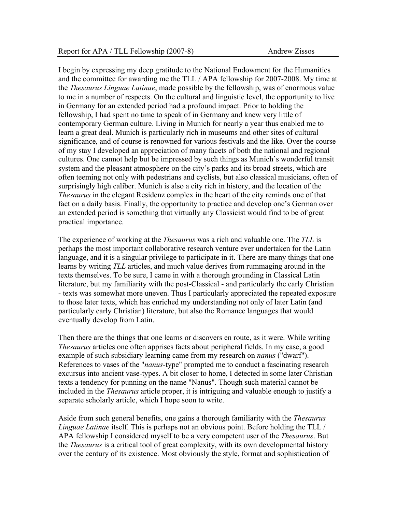I begin by expressing my deep gratitude to the National Endowment for the Humanities and the committee for awarding me the TLL / APA fellowship for 2007-2008. My time at the *Thesaurus Linguae Latinae*, made possible by the fellowship, was of enormous value to me in a number of respects. On the cultural and linguistic level, the opportunity to live in Germany for an extended period had a profound impact. Prior to holding the fellowship, I had spent no time to speak of in Germany and knew very little of contemporary German culture. Living in Munich for nearly a year thus enabled me to learn a great deal. Munich is particularly rich in museums and other sites of cultural significance, and of course is renowned for various festivals and the like. Over the course of my stay I developed an appreciation of many facets of both the national and regional cultures. One cannot help but be impressed by such things as Munich's wonderful transit system and the pleasant atmosphere on the city's parks and its broad streets, which are often teeming not only with pedestrians and cyclists, but also classical musicians, often of surprisingly high caliber. Munich is also a city rich in history, and the location of the *Thesaurus* in the elegant Residenz complex in the heart of the city reminds one of that fact on a daily basis. Finally, the opportunity to practice and develop one's German over an extended period is something that virtually any Classicist would find to be of great practical importance.

The experience of working at the *Thesaurus* was a rich and valuable one. The *TLL* is perhaps the most important collaborative research venture ever undertaken for the Latin language, and it is a singular privilege to participate in it. There are many things that one learns by writing *TLL* articles, and much value derives from rummaging around in the texts themselves. To be sure, I came in with a thorough grounding in Classical Latin literature, but my familiarity with the post-Classical - and particularly the early Christian - texts was somewhat more uneven. Thus I particularly appreciated the repeated exposure to those later texts, which has enriched my understanding not only of later Latin (and particularly early Christian) literature, but also the Romance languages that would eventually develop from Latin.

Then there are the things that one learns or discovers en route, as it were. While writing *Thesaurus* articles one often apprises facts about peripheral fields. In my case, a good example of such subsidiary learning came from my research on *nanus* ("dwarf"). References to vases of the "*nanus*-type" prompted me to conduct a fascinating research excursus into ancient vase-types. A bit closer to home, I detected in some later Christian texts a tendency for punning on the name "Nanus". Though such material cannot be included in the *Thesaurus* article proper, it is intriguing and valuable enough to justify a separate scholarly article, which I hope soon to write.

Aside from such general benefits, one gains a thorough familiarity with the *Thesaurus Linguae Latinae* itself. This is perhaps not an obvious point. Before holding the TLL / APA fellowship I considered myself to be a very competent user of the *Thesaurus*. But the *Thesaurus* is a critical tool of great complexity, with its own developmental history over the century of its existence. Most obviously the style, format and sophistication of